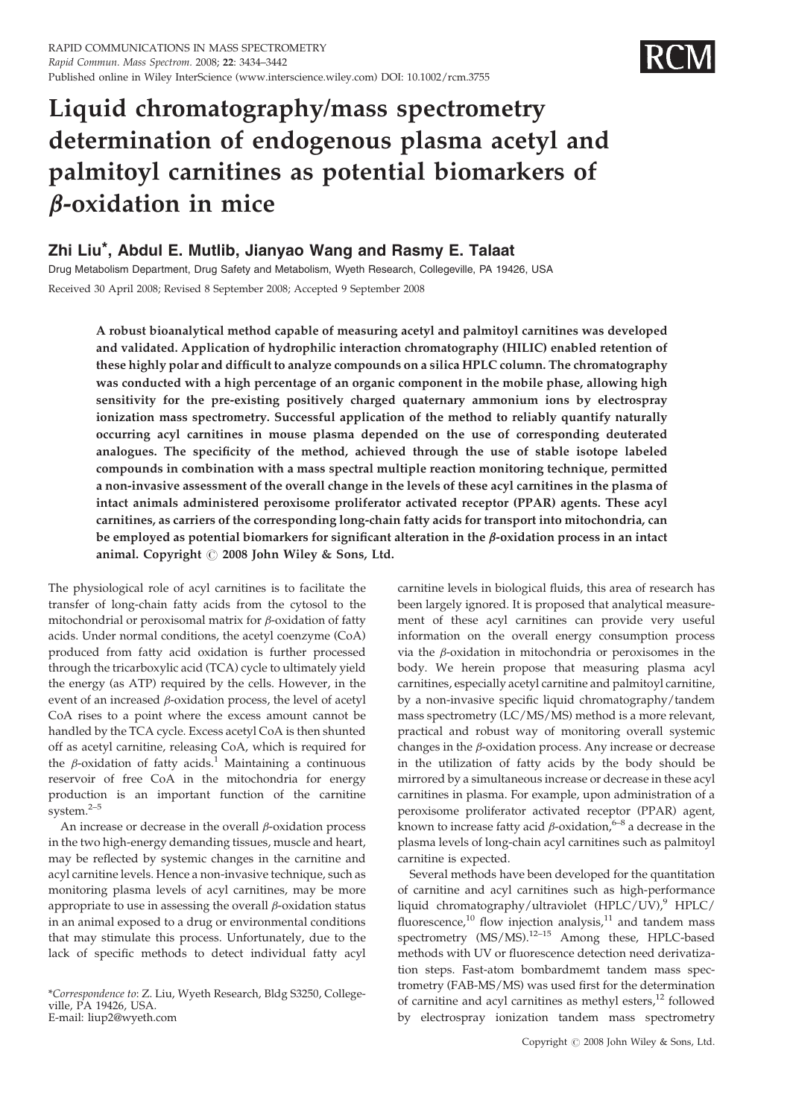

# Liquid chromatography/mass spectrometry determination of endogenous plasma acetyl and palmitoyl carnitines as potential biomarkers of  $\beta$ -oxidation in mice

## Zhi Liu\*, Abdul E. Mutlib, Jianyao Wang and Rasmy E. Talaat

Drug Metabolism Department, Drug Safety and Metabolism, Wyeth Research, Collegeville, PA 19426, USA Received 30 April 2008; Revised 8 September 2008; Accepted 9 September 2008

A robust bioanalytical method capable of measuring acetyl and palmitoyl carnitines was developed and validated. Application of hydrophilic interaction chromatography (HILIC) enabled retention of these highly polar and difficult to analyze compounds on a silica HPLC column. The chromatography was conducted with a high percentage of an organic component in the mobile phase, allowing high sensitivity for the pre-existing positively charged quaternary ammonium ions by electrospray ionization mass spectrometry. Successful application of the method to reliably quantify naturally occurring acyl carnitines in mouse plasma depended on the use of corresponding deuterated analogues. The specificity of the method, achieved through the use of stable isotope labeled compounds in combination with a mass spectral multiple reaction monitoring technique, permitted a non-invasive assessment of the overall change in the levels of these acyl carnitines in the plasma of intact animals administered peroxisome proliferator activated receptor (PPAR) agents. These acyl carnitines, as carriers of the corresponding long-chain fatty acids for transport into mitochondria, can be employed as potential biomarkers for significant alteration in the  $\beta$ -oxidation process in an intact animal. Copyright  $\odot$  2008 John Wiley & Sons, Ltd.

The physiological role of acyl carnitines is to facilitate the transfer of long-chain fatty acids from the cytosol to the mitochondrial or peroxisomal matrix for  $\beta$ -oxidation of fatty acids. Under normal conditions, the acetyl coenzyme (CoA) produced from fatty acid oxidation is further processed through the tricarboxylic acid (TCA) cycle to ultimately yield the energy (as ATP) required by the cells. However, in the event of an increased  $\beta$ -oxidation process, the level of acetyl CoA rises to a point where the excess amount cannot be handled by the TCA cycle. Excess acetyl CoA is then shunted off as acetyl carnitine, releasing CoA, which is required for the  $\beta$ -oxidation of fatty acids.<sup>1</sup> Maintaining a continuous reservoir of free CoA in the mitochondria for energy production is an important function of the carnitine system.2–5

An increase or decrease in the overall  $\beta$ -oxidation process in the two high-energy demanding tissues, muscle and heart, may be reflected by systemic changes in the carnitine and acyl carnitine levels. Hence a non-invasive technique, such as monitoring plasma levels of acyl carnitines, may be more appropriate to use in assessing the overall  $\beta$ -oxidation status in an animal exposed to a drug or environmental conditions that may stimulate this process. Unfortunately, due to the lack of specific methods to detect individual fatty acyl

\*Correspondence to: Z. Liu, Wyeth Research, Bldg S3250, Collegeville, PA 19426, USA. E-mail: liup2@wyeth.com

carnitine levels in biological fluids, this area of research has been largely ignored. It is proposed that analytical measurement of these acyl carnitines can provide very useful information on the overall energy consumption process via the  $\beta$ -oxidation in mitochondria or peroxisomes in the body. We herein propose that measuring plasma acyl carnitines, especially acetyl carnitine and palmitoyl carnitine, by a non-invasive specific liquid chromatography/tandem mass spectrometry (LC/MS/MS) method is a more relevant, practical and robust way of monitoring overall systemic changes in the  $\beta$ -oxidation process. Any increase or decrease in the utilization of fatty acids by the body should be mirrored by a simultaneous increase or decrease in these acyl carnitines in plasma. For example, upon administration of a peroxisome proliferator activated receptor (PPAR) agent, known to increase fatty acid  $\beta$ -oxidation,<sup>6–8</sup> a decrease in the plasma levels of long-chain acyl carnitines such as palmitoyl carnitine is expected.

Several methods have been developed for the quantitation of carnitine and acyl carnitines such as high-performance liquid chromatography/ultraviolet (HPLC/UV),<sup>9</sup> HPLC/ fluorescence,<sup>10</sup> flow injection analysis, $11$  and tandem mass spectrometry (MS/MS).<sup>12-15</sup> Among these, HPLC-based methods with UV or fluorescence detection need derivatization steps. Fast-atom bombardmemt tandem mass spectrometry (FAB-MS/MS) was used first for the determination of carnitine and acyl carnitines as methyl esters,<sup>12</sup> followed by electrospray ionization tandem mass spectrometry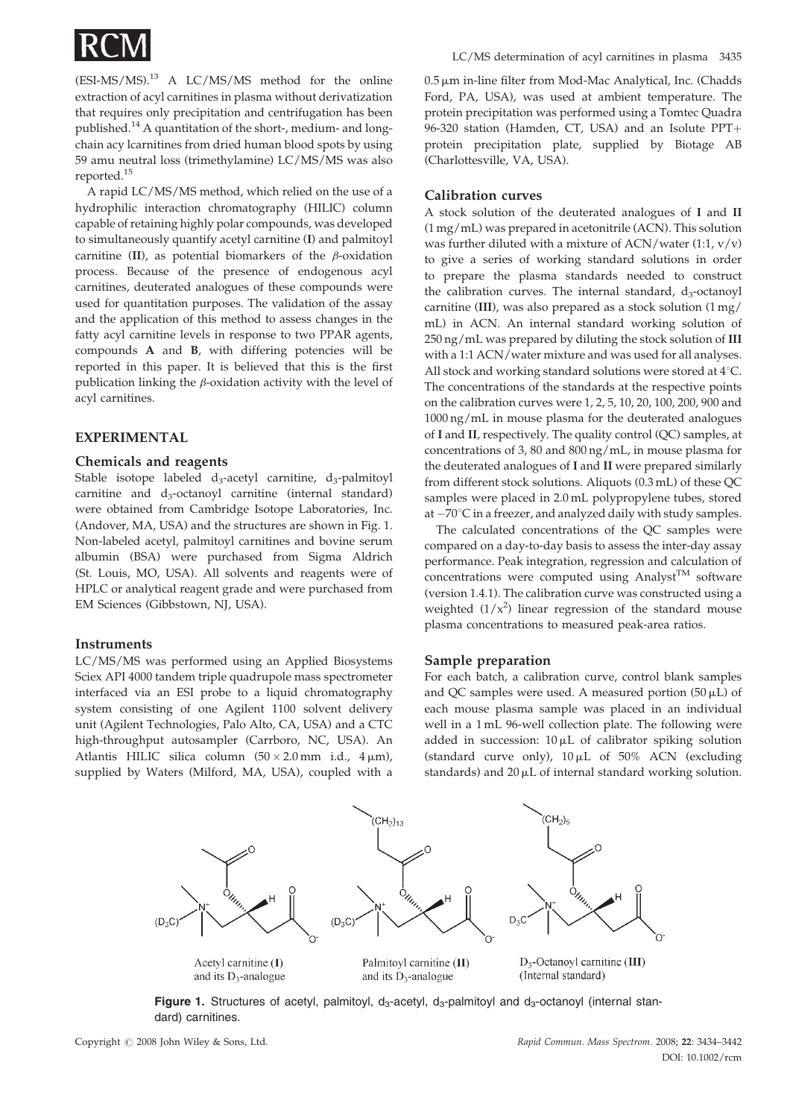

(ESI-MS/MS).<sup>13</sup> A LC/MS/MS method for the online extraction of acyl carnitines in plasma without derivatization that requires only precipitation and centrifugation has been published.<sup>14</sup> A quantitation of the short-, medium- and longchain acy lcarnitines from dried human blood spots by using 59 amu neutral loss (trimethylamine) LC/MS/MS was also reported.<sup>15</sup>

A rapid LC/MS/MS method, which relied on the use of a hydrophilic interaction chromatography (HILIC) column capable of retaining highly polar compounds, was developed to simultaneously quantify acetyl carnitine (I) and palmitoyl carnitine (II), as potential biomarkers of the  $\beta$ -oxidation process. Because of the presence of endogenous acyl carnitines, deuterated analogues of these compounds were used for quantitation purposes. The validation of the assay and the application of this method to assess changes in the fatty acyl carnitine levels in response to two PPAR agents, compounds A and B, with differing potencies will be reported in this paper. It is believed that this is the first publication linking the  $\beta$ -oxidation activity with the level of acyl carnitines.

## EXPERIMENTAL

#### Chemicals and reagents

Stable isotope labeled  $d_3$ -acetyl carnitine,  $d_3$ -palmitoyl carnitine and d<sub>3</sub>-octanoyl carnitine (internal standard) were obtained from Cambridge Isotope Laboratories, Inc. (Andover, MA, USA) and the structures are shown in Fig. 1. Non-labeled acetyl, palmitoyl carnitines and bovine serum albumin (BSA) were purchased from Sigma Aldrich (St. Louis, MO, USA). All solvents and reagents were of HPLC or analytical reagent grade and were purchased from EM Sciences (Gibbstown, NJ, USA).

#### Instruments

LC/MS/MS was performed using an Applied Biosystems Sciex API 4000 tandem triple quadrupole mass spectrometer interfaced via an ESI probe to a liquid chromatography system consisting of one Agilent 1100 solvent delivery unit (Agilent Technologies, Palo Alto, CA, USA) and a CTC high-throughput autosampler (Carrboro, NC, USA). An Atlantis HILIC silica column  $(50 \times 2.0 \text{ mm} \text{ i.d., } 4 \mu \text{m})$ , supplied by Waters (Milford, MA, USA), coupled with a  $0.5 \,\mu\text{m}$  in-line filter from Mod-Mac Analytical, Inc. (Chadds Ford, PA, USA), was used at ambient temperature. The protein precipitation was performed using a Tomtec Quadra 96-320 station (Hamden, CT, USA) and an Isolute PPT+ protein precipitation plate, supplied by Biotage AB (Charlottesville, VA, USA).

## Calibration curves

A stock solution of the deuterated analogues of I and II (1 mg/mL) was prepared in acetonitrile (ACN). This solution was further diluted with a mixture of ACN/water  $(1:1, v/v)$ to give a series of working standard solutions in order to prepare the plasma standards needed to construct the calibration curves. The internal standard,  $d_3$ -octanoyl carnitine (III), was also prepared as a stock solution (1 mg/ mL) in ACN. An internal standard working solution of 250 ng/mL was prepared by diluting the stock solution of III with a 1:1 ACN/water mixture and was used for all analyses. All stock and working standard solutions were stored at  $4^{\circ}$ C. The concentrations of the standards at the respective points on the calibration curves were 1, 2, 5, 10, 20, 100, 200, 900 and 1000 ng/mL in mouse plasma for the deuterated analogues of I and II, respectively. The quality control (QC) samples, at concentrations of 3, 80 and 800 ng/mL, in mouse plasma for the deuterated analogues of I and II were prepared similarly from different stock solutions. Aliquots (0.3 mL) of these QC samples were placed in 2.0 mL polypropylene tubes, stored at  $-70^{\circ}$ C in a freezer, and analyzed daily with study samples.

The calculated concentrations of the QC samples were compared on a day-to-day basis to assess the inter-day assay performance. Peak integration, regression and calculation of concentrations were computed using Analyst<sup>TM</sup> software (version 1.4.1). The calibration curve was constructed using a weighted  $(1/x^2)$  linear regression of the standard mouse plasma concentrations to measured peak-area ratios.

## Sample preparation

For each batch, a calibration curve, control blank samples and QC samples were used. A measured portion  $(50 \mu L)$  of each mouse plasma sample was placed in an individual well in a 1 mL 96-well collection plate. The following were added in succession:  $10 \mu L$  of calibrator spiking solution (standard curve only),  $10 \mu L$  of 50% ACN (excluding standards) and  $20 \mu L$  of internal standard working solution.



Figure 1. Structures of acetyl, palmitoyl,  $d_3$ -acetyl,  $d_3$ -palmitoyl and  $d_3$ -octanoyl (internal standard) carnitines.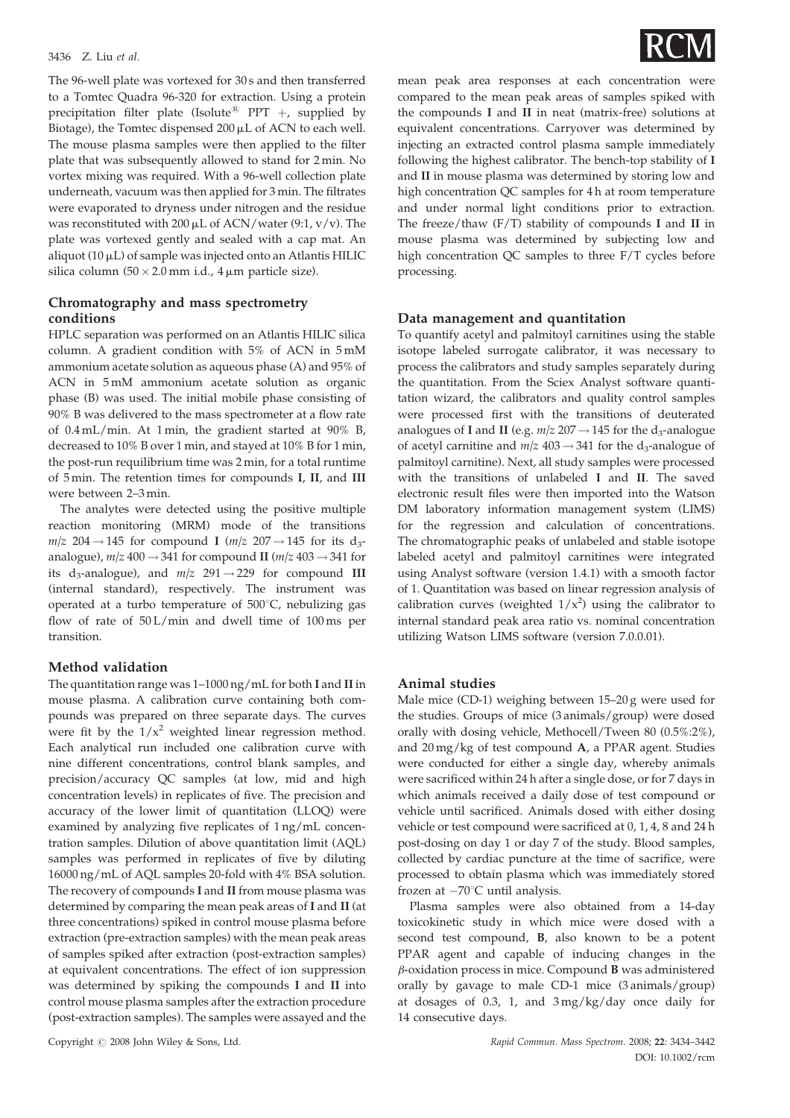The 96-well plate was vortexed for 30 s and then transferred to a Tomtec Quadra 96-320 for extraction. Using a protein precipitation filter plate (Isolute<sup>®</sup> PPT +, supplied by Biotage), the Tomtec dispensed  $200 \mu L$  of ACN to each well. The mouse plasma samples were then applied to the filter plate that was subsequently allowed to stand for 2 min. No vortex mixing was required. With a 96-well collection plate underneath, vacuum was then applied for 3 min. The filtrates were evaporated to dryness under nitrogen and the residue was reconstituted with 200  $\mu$ L of ACN/water (9:1, v/v). The plate was vortexed gently and sealed with a cap mat. An aliquot (10 $\mu$ L) of sample was injected onto an Atlantis HILIC silica column  $(50 \times 2.0 \text{ mm} \text{ i.d., } 4 \text{ }\mu\text{m} \text{ particle size}).$ 

## Chromatography and mass spectrometry conditions

HPLC separation was performed on an Atlantis HILIC silica column. A gradient condition with 5% of ACN in 5 mM ammonium acetate solution as aqueous phase (A) and 95% of ACN in 5 mM ammonium acetate solution as organic phase (B) was used. The initial mobile phase consisting of 90% B was delivered to the mass spectrometer at a flow rate of 0.4 mL/min. At 1 min, the gradient started at 90% B, decreased to 10% B over 1 min, and stayed at 10% B for 1 min, the post-run requilibrium time was 2 min, for a total runtime of 5 min. The retention times for compounds I, II, and III were between 2–3 min.

The analytes were detected using the positive multiple reaction monitoring (MRM) mode of the transitions  $m/z$  204 $\rightarrow$  145 for compound I ( $m/z$  207 $\rightarrow$  145 for its d<sub>3</sub>analogue),  $m/z$  400  $\rightarrow$  341 for compound II ( $m/z$  403  $\rightarrow$  341 for its d<sub>3</sub>-analogue), and  $m/z$  291 $\rightarrow$ 229 for compound III (internal standard), respectively. The instrument was operated at a turbo temperature of  $500^{\circ}$ C, nebulizing gas flow of rate of  $50 L/min$  and dwell time of  $100 ms$  per transition.

## Method validation

The quantitation range was  $1-1000$  ng/mL for both I and II in mouse plasma. A calibration curve containing both compounds was prepared on three separate days. The curves were fit by the  $1/x^2$  weighted linear regression method. Each analytical run included one calibration curve with nine different concentrations, control blank samples, and precision/accuracy QC samples (at low, mid and high concentration levels) in replicates of five. The precision and accuracy of the lower limit of quantitation (LLOQ) were examined by analyzing five replicates of 1 ng/mL concentration samples. Dilution of above quantitation limit (AQL) samples was performed in replicates of five by diluting 16000 ng/mL of AQL samples 20-fold with 4% BSA solution. The recovery of compounds I and II from mouse plasma was determined by comparing the mean peak areas of I and II (at three concentrations) spiked in control mouse plasma before extraction (pre-extraction samples) with the mean peak areas of samples spiked after extraction (post-extraction samples) at equivalent concentrations. The effect of ion suppression was determined by spiking the compounds I and II into control mouse plasma samples after the extraction procedure (post-extraction samples). The samples were assayed and the



mean peak area responses at each concentration were compared to the mean peak areas of samples spiked with the compounds I and II in neat (matrix-free) solutions at equivalent concentrations. Carryover was determined by injecting an extracted control plasma sample immediately following the highest calibrator. The bench-top stability of I and II in mouse plasma was determined by storing low and high concentration QC samples for 4 h at room temperature and under normal light conditions prior to extraction. The freeze/thaw (F/T) stability of compounds I and II in mouse plasma was determined by subjecting low and high concentration QC samples to three F/T cycles before processing.

#### Data management and quantitation

To quantify acetyl and palmitoyl carnitines using the stable isotope labeled surrogate calibrator, it was necessary to process the calibrators and study samples separately during the quantitation. From the Sciex Analyst software quantitation wizard, the calibrators and quality control samples were processed first with the transitions of deuterated analogues of I and II (e.g.  $m/z$  207  $\rightarrow$  145 for the d<sub>3</sub>-analogue of acetyl carnitine and  $m/z$  403  $\rightarrow$  341 for the d<sub>3</sub>-analogue of palmitoyl carnitine). Next, all study samples were processed with the transitions of unlabeled I and II. The saved electronic result files were then imported into the Watson DM laboratory information management system (LIMS) for the regression and calculation of concentrations. The chromatographic peaks of unlabeled and stable isotope labeled acetyl and palmitoyl carnitines were integrated using Analyst software (version 1.4.1) with a smooth factor of 1. Quantitation was based on linear regression analysis of calibration curves (weighted  $1/x^2$ ) using the calibrator to internal standard peak area ratio vs. nominal concentration utilizing Watson LIMS software (version 7.0.0.01).

#### Animal studies

Male mice (CD-1) weighing between 15–20 g were used for the studies. Groups of mice (3 animals/group) were dosed orally with dosing vehicle, Methocell/Tween 80 (0.5%:2%), and 20 mg/kg of test compound A, a PPAR agent. Studies were conducted for either a single day, whereby animals were sacrificed within 24 h after a single dose, or for 7 days in which animals received a daily dose of test compound or vehicle until sacrificed. Animals dosed with either dosing vehicle or test compound were sacrificed at 0, 1, 4, 8 and 24 h post-dosing on day 1 or day 7 of the study. Blood samples, collected by cardiac puncture at the time of sacrifice, were processed to obtain plasma which was immediately stored frozen at  $-70^{\circ}$ C until analysis.

Plasma samples were also obtained from a 14-day toxicokinetic study in which mice were dosed with a second test compound, B, also known to be a potent PPAR agent and capable of inducing changes in the  $\beta$ -oxidation process in mice. Compound **B** was administered orally by gavage to male CD-1 mice (3 animals/group) at dosages of 0.3, 1, and  $3 \frac{mg}{kg}$  day once daily for 14 consecutive days.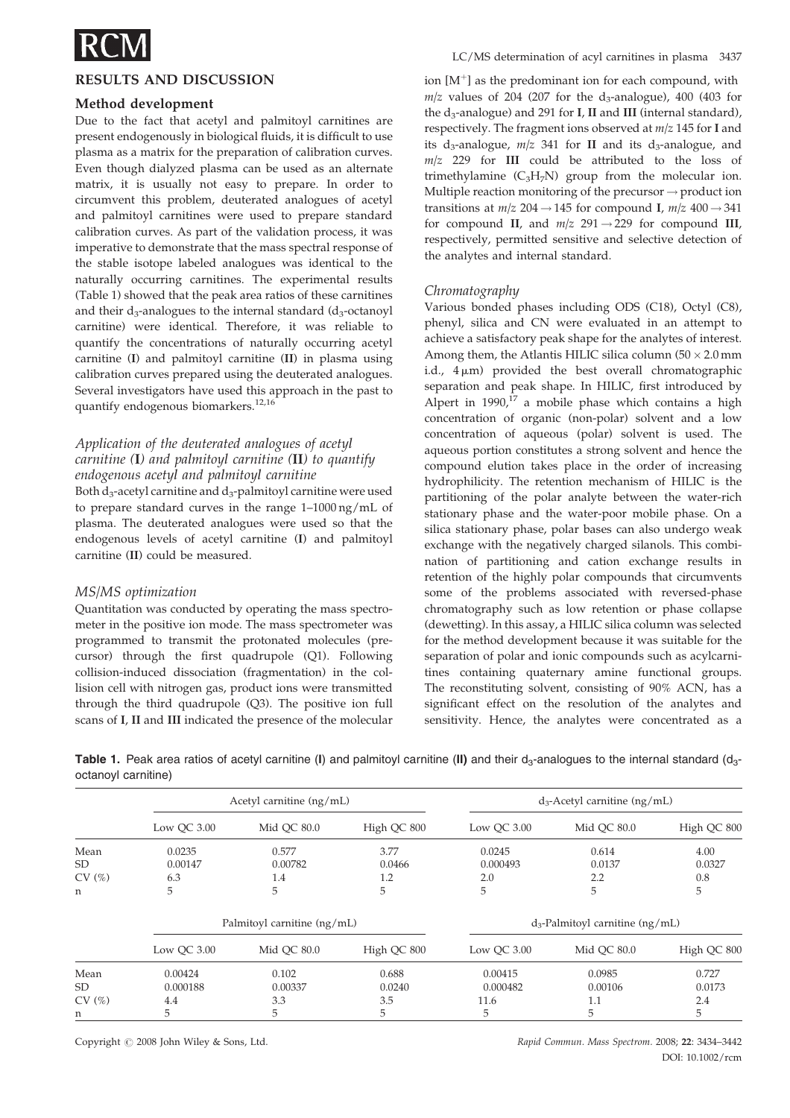

### RESULTS AND DISCUSSION

## Method development

Due to the fact that acetyl and palmitoyl carnitines are present endogenously in biological fluids, it is difficult to use plasma as a matrix for the preparation of calibration curves. Even though dialyzed plasma can be used as an alternate matrix, it is usually not easy to prepare. In order to circumvent this problem, deuterated analogues of acetyl and palmitoyl carnitines were used to prepare standard calibration curves. As part of the validation process, it was imperative to demonstrate that the mass spectral response of the stable isotope labeled analogues was identical to the naturally occurring carnitines. The experimental results (Table 1) showed that the peak area ratios of these carnitines and their  $d_3$ -analogues to the internal standard  $(d_3$ -octanoyl carnitine) were identical. Therefore, it was reliable to quantify the concentrations of naturally occurring acetyl carnitine (I) and palmitoyl carnitine (II) in plasma using calibration curves prepared using the deuterated analogues. Several investigators have used this approach in the past to quantify endogenous biomarkers.<sup>12,16</sup>

## Application of the deuterated analogues of acetyl carnitine  $(I)$  and palmitoyl carnitine  $(II)$  to quantify endogenous acetyl and palmitoyl carnitine

Both  $d_3$ -acetyl carnitine and  $d_3$ -palmitoyl carnitine were used to prepare standard curves in the range 1–1000 ng/mL of plasma. The deuterated analogues were used so that the endogenous levels of acetyl carnitine (I) and palmitoyl carnitine (II) could be measured.

## MS/MS optimization

Quantitation was conducted by operating the mass spectrometer in the positive ion mode. The mass spectrometer was programmed to transmit the protonated molecules (precursor) through the first quadrupole (Q1). Following collision-induced dissociation (fragmentation) in the collision cell with nitrogen gas, product ions were transmitted through the third quadrupole (Q3). The positive ion full scans of I, II and III indicated the presence of the molecular ion  $[M^+]$  as the predominant ion for each compound, with  $m/z$  values of 204 (207 for the d<sub>3</sub>-analogue), 400 (403 for the d<sub>3</sub>-analogue) and 291 for **I**, **II** and **III** (internal standard), respectively. The fragment ions observed at  $m/z$  145 for I and its d<sub>3</sub>-analogue,  $m/z$  341 for II and its d<sub>3</sub>-analogue, and  $m/z$  229 for III could be attributed to the loss of trimethylamine  $(C_3H_7N)$  group from the molecular ion. Multiple reaction monitoring of the precursor  $\rightarrow$  product ion transitions at  $m/z$  204 $\rightarrow$  145 for compound I,  $m/z$  400 $\rightarrow$  341 for compound II, and  $m/z$  291  $\rightarrow$  229 for compound III, respectively, permitted sensitive and selective detection of the analytes and internal standard.

## Chromatography

Various bonded phases including ODS (C18), Octyl (C8), phenyl, silica and CN were evaluated in an attempt to achieve a satisfactory peak shape for the analytes of interest. Among them, the Atlantis HILIC silica column  $(50 \times 2.0 \text{ mm})$ i.d.,  $4 \mu m$ ) provided the best overall chromatographic separation and peak shape. In HILIC, first introduced by Alpert in  $1990$ ,<sup>17</sup> a mobile phase which contains a high concentration of organic (non-polar) solvent and a low concentration of aqueous (polar) solvent is used. The aqueous portion constitutes a strong solvent and hence the compound elution takes place in the order of increasing hydrophilicity. The retention mechanism of HILIC is the partitioning of the polar analyte between the water-rich stationary phase and the water-poor mobile phase. On a silica stationary phase, polar bases can also undergo weak exchange with the negatively charged silanols. This combination of partitioning and cation exchange results in retention of the highly polar compounds that circumvents some of the problems associated with reversed-phase chromatography such as low retention or phase collapse (dewetting). In this assay, a HILIC silica column was selected for the method development because it was suitable for the separation of polar and ionic compounds such as acylcarnitines containing quaternary amine functional groups. The reconstituting solvent, consisting of 90% ACN, has a significant effect on the resolution of the analytes and sensitivity. Hence, the analytes were concentrated as a

Table 1. Peak area ratios of acetyl carnitine (I) and palmitoyl carnitine (II) and their d<sub>3</sub>-analogues to the internal standard (d<sub>3</sub>octanoyl carnitine)

|       |               | Acetyl carnitine $(ng/mL)$    |             | $d_3$ -Acetyl carnitine (ng/mL)    |             |             |  |
|-------|---------------|-------------------------------|-------------|------------------------------------|-------------|-------------|--|
|       | Low OC $3.00$ | Mid OC 80.0                   | High QC 800 | Low QC 3.00                        | Mid QC 80.0 | High QC 800 |  |
| Mean  | 0.0235        | 0.577                         | 3.77        | 0.0245                             | 0.614       | 4.00        |  |
| SD.   | 0.00147       | 0.00782                       | 0.0466      | 0.000493                           | 0.0137      | 0.0327      |  |
| CV(%) | 6.3           | 1.4                           | 1.2         | 2.0                                | 2.2         | 0.8         |  |
| n     | 5             | 5                             | 5           | 5                                  | 5           | 5           |  |
|       |               | Palmitoyl carnitine $(ng/mL)$ |             | $d_3$ -Palmitoyl carnitine (ng/mL) |             |             |  |
|       | Low QC $3.00$ | Mid QC 80.0                   | High QC 800 | Low QC 3.00                        | Mid QC 80.0 | High QC 800 |  |
| Mean  | 0.00424       | 0.102                         | 0.688       | 0.00415                            | 0.0985      | 0.727       |  |
| SD.   | 0.000188      | 0.00337                       | 0.0240      | 0.000482                           | 0.00106     | 0.0173      |  |
| CV(%) | 4.4           | 3.3                           | 3.5         | 11.6                               | 1.1         | 2.4         |  |
| n     | 5             | 5                             | 5           | 5.                                 | 5           | 5           |  |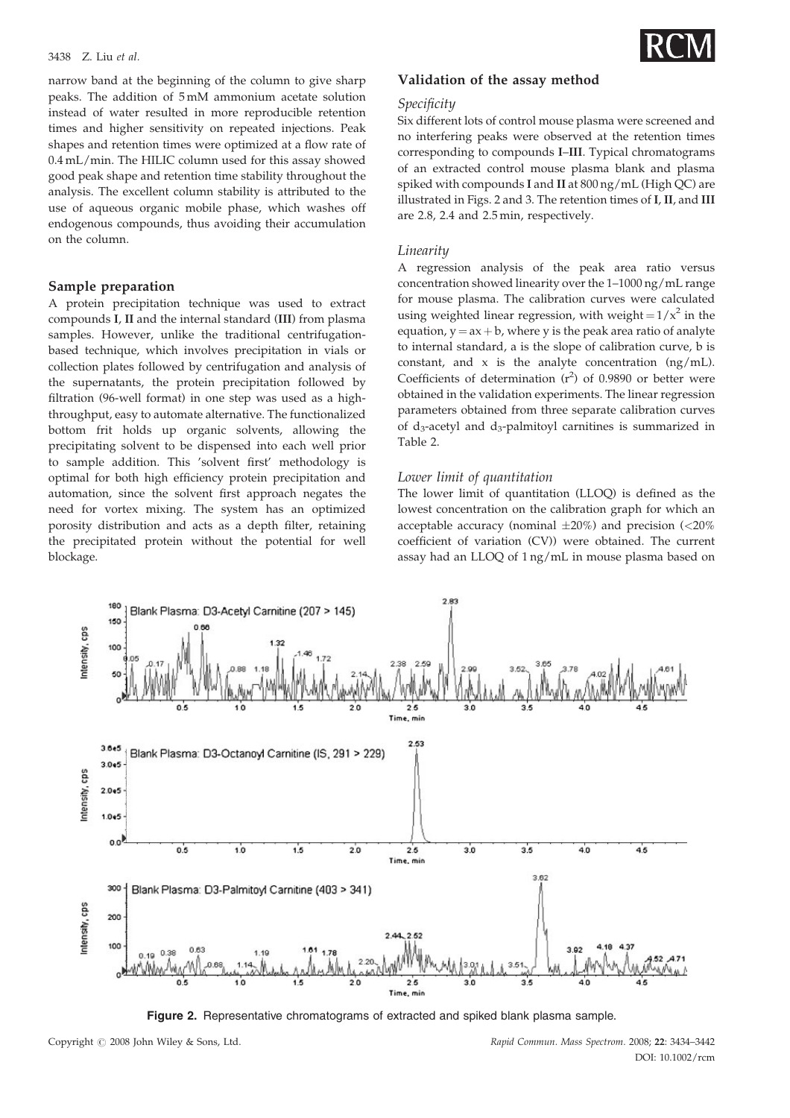#### 3438 Z. Liu et al.

narrow band at the beginning of the column to give sharp peaks. The addition of 5 mM ammonium acetate solution instead of water resulted in more reproducible retention times and higher sensitivity on repeated injections. Peak shapes and retention times were optimized at a flow rate of 0.4 mL/min. The HILIC column used for this assay showed good peak shape and retention time stability throughout the analysis. The excellent column stability is attributed to the use of aqueous organic mobile phase, which washes off endogenous compounds, thus avoiding their accumulation on the column.

#### Sample preparation

A protein precipitation technique was used to extract compounds I, II and the internal standard (III) from plasma samples. However, unlike the traditional centrifugationbased technique, which involves precipitation in vials or collection plates followed by centrifugation and analysis of the supernatants, the protein precipitation followed by filtration (96-well format) in one step was used as a highthroughput, easy to automate alternative. The functionalized bottom frit holds up organic solvents, allowing the precipitating solvent to be dispensed into each well prior to sample addition. This 'solvent first' methodology is optimal for both high efficiency protein precipitation and automation, since the solvent first approach negates the need for vortex mixing. The system has an optimized porosity distribution and acts as a depth filter, retaining the precipitated protein without the potential for well blockage.



#### Validation of the assay method

#### Specificity

Six different lots of control mouse plasma were screened and no interfering peaks were observed at the retention times corresponding to compounds I–III. Typical chromatograms of an extracted control mouse plasma blank and plasma spiked with compounds I and II at 800 ng/mL (High QC) are illustrated in Figs. 2 and 3. The retention times of I, II, and III are 2.8, 2.4 and 2.5 min, respectively.

#### Linearity

A regression analysis of the peak area ratio versus concentration showed linearity over the 1–1000 ng/mL range for mouse plasma. The calibration curves were calculated using weighted linear regression, with weight  $= 1/x^2$  in the equation,  $y = ax + b$ , where y is the peak area ratio of analyte to internal standard, a is the slope of calibration curve, b is constant, and  $x$  is the analyte concentration  $(ng/mL)$ . Coefficients of determination  $(r^2)$  of 0.9890 or better were obtained in the validation experiments. The linear regression parameters obtained from three separate calibration curves of d<sub>3</sub>-acetyl and d<sub>3</sub>-palmitoyl carnitines is summarized in Table 2.

#### Lower limit of quantitation

The lower limit of quantitation (LLOQ) is defined as the lowest concentration on the calibration graph for which an acceptable accuracy (nominal  $\pm 20\%$ ) and precision (<20%) coefficient of variation (CV)) were obtained. The current assay had an LLOQ of 1 ng/mL in mouse plasma based on



Figure 2. Representative chromatograms of extracted and spiked blank plasma sample.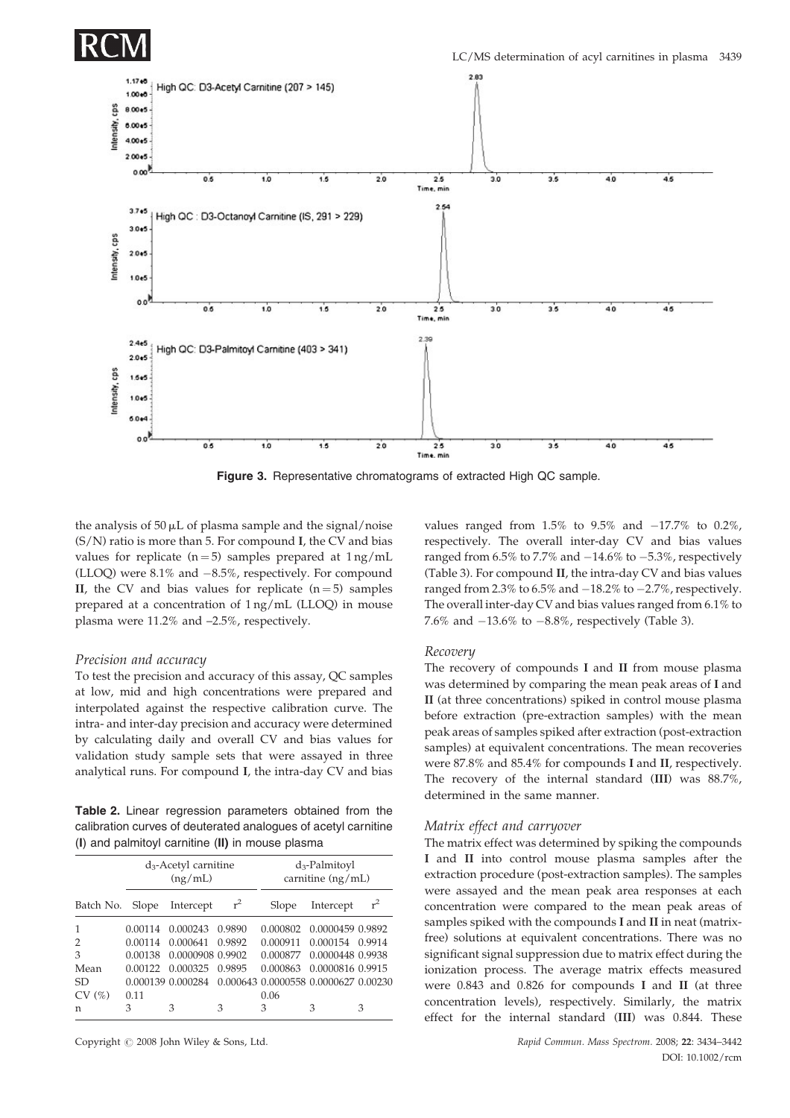



Figure 3. Representative chromatograms of extracted High QC sample.

the analysis of  $50 \mu L$  of plasma sample and the signal/noise (S/N) ratio is more than 5. For compound I, the CV and bias values for replicate  $(n = 5)$  samples prepared at  $1 \text{ ng/mL}$ (LLOQ) were 8.1% and -8.5%, respectively. For compound II, the CV and bias values for replicate  $(n=5)$  samples prepared at a concentration of 1 ng/mL (LLOQ) in mouse plasma were 11.2% and –2.5%, respectively.

#### Precision and accuracy

To test the precision and accuracy of this assay, QC samples at low, mid and high concentrations were prepared and interpolated against the respective calibration curve. The intra- and inter-day precision and accuracy were determined by calculating daily and overall CV and bias values for validation study sample sets that were assayed in three analytical runs. For compound I, the intra-day CV and bias

Table 2. Linear regression parameters obtained from the calibration curves of deuterated analogues of acetyl carnitine (I) and palmitoyl carnitine (II) in mouse plasma

|                 |         | $d_3$ -Acetyl carnitine<br>(ng/mL) |        | $d_3$ -Palmitoyl<br>carnitine $(ng/mL)$ |                                      |       |  |
|-----------------|---------|------------------------------------|--------|-----------------------------------------|--------------------------------------|-------|--|
| Batch No. Slope |         | Intercept                          | $r^2$  | Slope                                   | Intercept                            | $r^2$ |  |
| $\mathbf{1}$    | 0.00114 | 0.000243                           | 0.9890 |                                         | 0.000802 0.0000459 0.9892            |       |  |
| 2               | 0.00114 | 0.000641                           | 0.9892 | 0.000911                                | 0.000154 0.9914                      |       |  |
| 3               | 0.00138 | 0.0000908 0.9902                   |        | 0.000877                                | 0.0000448 0.9938                     |       |  |
| Mean            | 0.00122 | 0.000325                           | 0.9895 |                                         | 0.000863 0.0000816 0.9915            |       |  |
| SD.             |         | 0.000139 0.000284                  |        |                                         | 0.000643 0.0000558 0.0000627 0.00230 |       |  |
| CV(%)           | 0.11    |                                    |        | 0.06                                    |                                      |       |  |
| n               | 3       | З                                  | 3      | 3                                       | 3                                    | З     |  |

values ranged from  $1.5\%$  to  $9.5\%$  and  $-17.7\%$  to  $0.2\%$ , respectively. The overall inter-day CV and bias values ranged from 6.5% to 7.7% and -14.6% to -5.3%, respectively (Table 3). For compound II, the intra-day CV and bias values ranged from 2.3% to 6.5% and -18.2% to -2.7%, respectively. The overall inter-day CV and bias values ranged from 6.1% to 7.6% and  $-13.6\%$  to  $-8.8\%$ , respectively (Table 3).

#### Recovery

The recovery of compounds I and II from mouse plasma was determined by comparing the mean peak areas of I and II (at three concentrations) spiked in control mouse plasma before extraction (pre-extraction samples) with the mean peak areas of samples spiked after extraction (post-extraction samples) at equivalent concentrations. The mean recoveries were 87.8% and 85.4% for compounds I and II, respectively. The recovery of the internal standard (III) was 88.7%, determined in the same manner.

#### Matrix effect and carryover

The matrix effect was determined by spiking the compounds I and II into control mouse plasma samples after the extraction procedure (post-extraction samples). The samples were assayed and the mean peak area responses at each concentration were compared to the mean peak areas of samples spiked with the compounds I and II in neat (matrixfree) solutions at equivalent concentrations. There was no significant signal suppression due to matrix effect during the ionization process. The average matrix effects measured were 0.843 and 0.826 for compounds I and II (at three concentration levels), respectively. Similarly, the matrix effect for the internal standard (III) was 0.844. These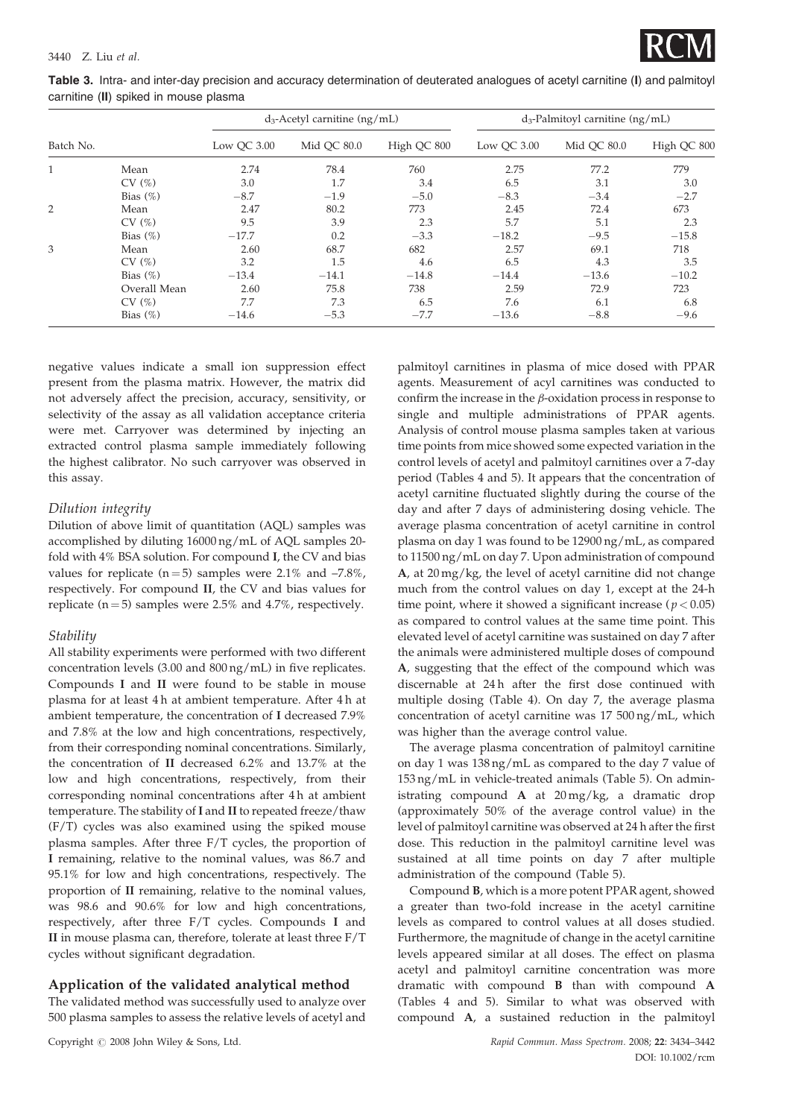

| Table 3. Intra- and inter-day precision and accuracy determination of deuterated analogues of acetyl carnitine (I) and palmitoyl |  |  |  |  |  |
|----------------------------------------------------------------------------------------------------------------------------------|--|--|--|--|--|
| carnitine (II) spiked in mouse plasma                                                                                            |  |  |  |  |  |

|           |              |               | $d_3$ -Acetyl carnitine (ng/mL) |             | $d_3$ -Palmitoyl carnitine (ng/mL) |             |             |  |
|-----------|--------------|---------------|---------------------------------|-------------|------------------------------------|-------------|-------------|--|
| Batch No. |              | Low QC $3.00$ | Mid OC 80.0                     | High QC 800 | Low OC $3.00$                      | Mid OC 80.0 | High QC 800 |  |
|           | Mean         | 2.74          | 78.4                            | 760         | 2.75                               | 77.2        | 779         |  |
|           | CV(%)        | 3.0           | 1.7                             | 3.4         | 6.5                                | 3.1         | 3.0         |  |
|           | Bias $(\%)$  | $-8.7$        | $-1.9$                          | $-5.0$      | $-8.3$                             | $-3.4$      | $-2.7$      |  |
| 2         | Mean         | 2.47          | 80.2                            | 773         | 2.45                               | 72.4        | 673         |  |
|           | CV(%)        | 9.5           | 3.9                             | 2.3         | 5.7                                | 5.1         | 2.3         |  |
|           | Bias $(\%)$  | $-17.7$       | 0.2                             | $-3.3$      | $-18.2$                            | $-9.5$      | $-15.8$     |  |
| 3         | Mean         | 2.60          | 68.7                            | 682         | 2.57                               | 69.1        | 718         |  |
|           | CV(%)        | 3.2           | 1.5                             | 4.6         | 6.5                                | 4.3         | 3.5         |  |
|           | Bias $(\%)$  | $-13.4$       | $-14.1$                         | $-14.8$     | $-14.4$                            | $-13.6$     | $-10.2$     |  |
|           | Overall Mean | 2.60          | 75.8                            | 738         | 2.59                               | 72.9        | 723         |  |
|           | CV(%)        | 7.7           | 7.3                             | 6.5         | 7.6                                | 6.1         | 6.8         |  |
|           | Bias $(\%)$  | $-14.6$       | $-5.3$                          | $-7.7$      | $-13.6$                            | $-8.8$      | $-9.6$      |  |

negative values indicate a small ion suppression effect present from the plasma matrix. However, the matrix did not adversely affect the precision, accuracy, sensitivity, or selectivity of the assay as all validation acceptance criteria were met. Carryover was determined by injecting an extracted control plasma sample immediately following the highest calibrator. No such carryover was observed in this assay.

## Dilution integrity

Dilution of above limit of quantitation (AQL) samples was accomplished by diluting 16000 ng/mL of AQL samples 20 fold with 4% BSA solution. For compound I, the CV and bias values for replicate ( $n = 5$ ) samples were 2.1% and  $-7.8\%$ , respectively. For compound II, the CV and bias values for replicate ( $n = 5$ ) samples were 2.5% and 4.7%, respectively.

## Stability

All stability experiments were performed with two different concentration levels (3.00 and 800 ng/mL) in five replicates. Compounds I and II were found to be stable in mouse plasma for at least 4 h at ambient temperature. After 4 h at ambient temperature, the concentration of I decreased 7.9% and 7.8% at the low and high concentrations, respectively, from their corresponding nominal concentrations. Similarly, the concentration of II decreased 6.2% and 13.7% at the low and high concentrations, respectively, from their corresponding nominal concentrations after 4 h at ambient temperature. The stability of I and II to repeated freeze/thaw (F/T) cycles was also examined using the spiked mouse plasma samples. After three F/T cycles, the proportion of I remaining, relative to the nominal values, was 86.7 and 95.1% for low and high concentrations, respectively. The proportion of II remaining, relative to the nominal values, was 98.6 and 90.6% for low and high concentrations, respectively, after three F/T cycles. Compounds I and II in mouse plasma can, therefore, tolerate at least three F/T cycles without significant degradation.

## Application of the validated analytical method

The validated method was successfully used to analyze over 500 plasma samples to assess the relative levels of acetyl and palmitoyl carnitines in plasma of mice dosed with PPAR agents. Measurement of acyl carnitines was conducted to confirm the increase in the  $\beta$ -oxidation process in response to single and multiple administrations of PPAR agents. Analysis of control mouse plasma samples taken at various time points from mice showed some expected variation in the control levels of acetyl and palmitoyl carnitines over a 7-day period (Tables 4 and 5). It appears that the concentration of acetyl carnitine fluctuated slightly during the course of the day and after 7 days of administering dosing vehicle. The average plasma concentration of acetyl carnitine in control plasma on day 1 was found to be 12900 ng/mL, as compared to 11500 ng/mL on day 7. Upon administration of compound A, at 20 mg/kg, the level of acetyl carnitine did not change much from the control values on day 1, except at the 24-h time point, where it showed a significant increase ( $p < 0.05$ ) as compared to control values at the same time point. This elevated level of acetyl carnitine was sustained on day 7 after the animals were administered multiple doses of compound A, suggesting that the effect of the compound which was discernable at 24 h after the first dose continued with multiple dosing (Table 4). On day 7, the average plasma concentration of acetyl carnitine was 17 500 ng/mL, which was higher than the average control value.

The average plasma concentration of palmitoyl carnitine on day 1 was 138 ng/mL as compared to the day 7 value of 153 ng/mL in vehicle-treated animals (Table 5). On administrating compound A at 20 mg/kg, a dramatic drop (approximately 50% of the average control value) in the level of palmitoyl carnitine was observed at 24 h after the first dose. This reduction in the palmitoyl carnitine level was sustained at all time points on day 7 after multiple administration of the compound (Table 5).

Compound B, which is a more potent PPAR agent, showed a greater than two-fold increase in the acetyl carnitine levels as compared to control values at all doses studied. Furthermore, the magnitude of change in the acetyl carnitine levels appeared similar at all doses. The effect on plasma acetyl and palmitoyl carnitine concentration was more dramatic with compound B than with compound A (Tables 4 and 5). Similar to what was observed with compound A, a sustained reduction in the palmitoyl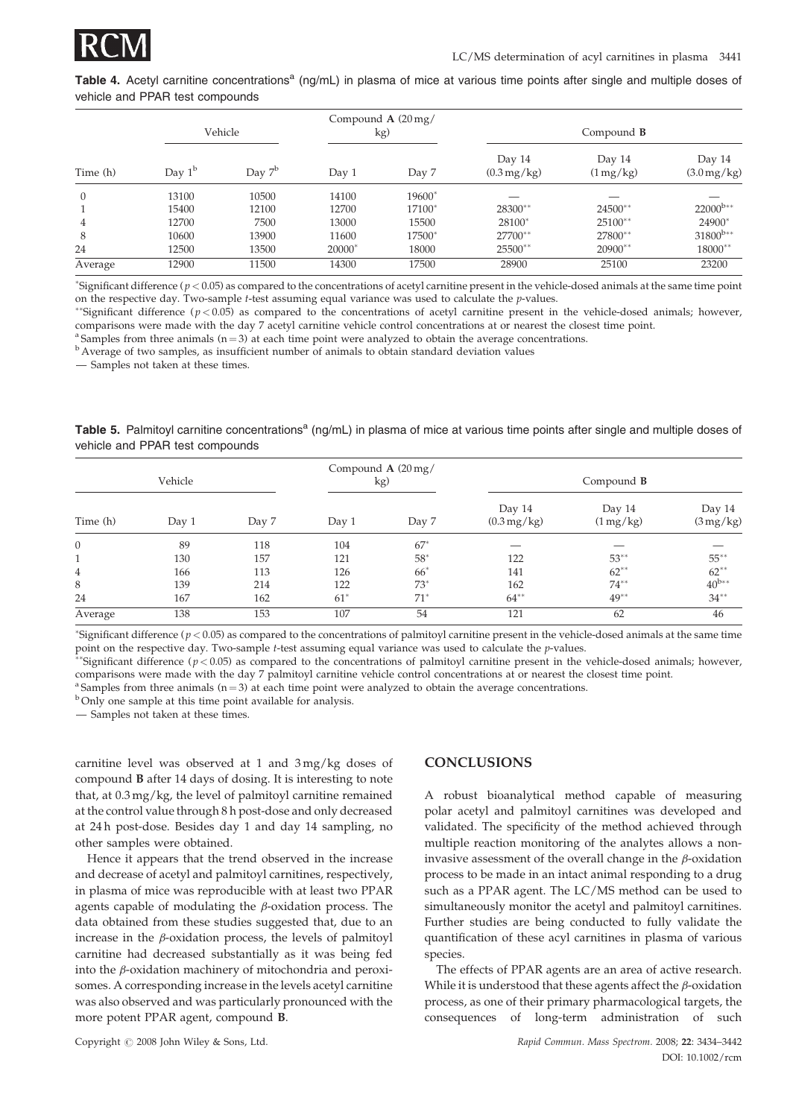

Table 4. Acetyl carnitine concentrations<sup>a</sup> (ng/mL) in plasma of mice at various time points after single and multiple doses of vehicle and PPAR test compounds

| Time (h)       | Vehicle  |                 | Compound $A(20mg/$<br>kg) |        | Compound $\bf{B}$                  |                                |                                    |
|----------------|----------|-----------------|---------------------------|--------|------------------------------------|--------------------------------|------------------------------------|
|                | Day $1b$ | Day $7^{\rm b}$ | Day 1                     | Day 7  | Day 14<br>$(0.3 \,\mathrm{mg/kg})$ | Day 14<br>$(1 \,\text{mg/kg})$ | Day 14<br>$(3.0 \,\mathrm{mg/kg})$ |
| $\overline{0}$ | 13100    | 10500           | 14100                     | 19600* |                                    |                                |                                    |
|                | 15400    | 12100           | 12700                     | 17100* | 28300**                            | 24500**                        | $22000^{b**}$                      |
| 4              | 12700    | 7500            | 13000                     | 15500  | 28100*                             | $25100**$                      | 24900*                             |
| 8              | 10600    | 13900           | 11600                     | 17500* | 27700**                            | 27800**                        | $31800^{b**}$                      |
| 24             | 12500    | 13500           | $20000*$                  | 18000  | 25500**                            | $20900**$                      | 18000**                            |
| Average        | 12900    | 11500           | 14300                     | 17500  | 28900                              | 25100                          | 23200                              |

\*Significant difference ( $p < 0.05$ ) as compared to the concentrations of acetyl carnitine present in the vehicle-dosed animals at the same time point

on the respective day. Two-sample *t*-test assuming equal variance was used to calculate the *p*-values.<br>\*\*Significant difference ( $p < 0.05$ ) as compared to the concentrations of acetyl carnitine present in the vehicle-do comparisons were made with the day 7 acetyl carnitine vehicle control concentrations at or nearest the closest time point.

<sup>a</sup> Samples from three animals (n = 3) at each time point were analyzed to obtain the average concentrations. b<br><sup>b</sup> Average of two samples, as insufficient number of animals to obtain standard deviation values

— Samples not taken at these times.

Table 5. Palmitoyl carnitine concentrations<sup>a</sup> (ng/mL) in plasma of mice at various time points after single and multiple doses of vehicle and PPAR test compounds

| Vehicle        |       |       | Compound A $(20 \,\text{mg})$<br>kg) |       | Compound <b>B</b>                |                                |                                  |  |
|----------------|-------|-------|--------------------------------------|-------|----------------------------------|--------------------------------|----------------------------------|--|
| Time (h)       | Day 1 | Day 7 | Day 1                                | Day 7 | Day 14<br>$(0.3 \,\text{mg/kg})$ | Day 14<br>$(1 \,\text{mg/kg})$ | Day $14$<br>$(3 \,\text{mg/kg})$ |  |
| $\overline{0}$ | 89    | 118   | 104                                  | $67*$ |                                  |                                |                                  |  |
|                | 130   | 157   | 121                                  | $58*$ | 122                              | $53***$                        | $55***$                          |  |
| 4              | 166   | 113   | 126                                  | $66*$ | 141                              | $62***$                        | $62***$                          |  |
| 8              | 139   | 214   | 122                                  | $73*$ | 162                              | $74***$                        | $40^{b**}$                       |  |
| 24             | 167   | 162   | $61*$                                | $71*$ | $64***$                          | $49^{**}$                      | $34***$                          |  |
| Average        | 138   | 153   | 107                                  | 54    | 121                              | 62                             | 46                               |  |

"Significant difference ( $p < 0.05$ ) as compared to the concentrations of palmitoyl carnitine present in the vehicle-dosed animals at the same time point on the respective day. Two-sample *t*-test assuming equal variance was used to calculate the *p*-values.<br>\*\*Significant difference ( $p < 0.05$ ) as compared to the concentrations of palmitoyl carnitine present in the v

comparisons were made with the day 7 palmitoyl carnitine vehicle control concentrations at or nearest the closest time point.

<sup>a</sup> Samples from three animals (n = 3) at each time point were analyzed to obtain the average concentrations. <sup>b</sup>Only one sample at this time point available for analysis.

— Samples not taken at these times.

carnitine level was observed at 1 and 3 mg/kg doses of compound B after 14 days of dosing. It is interesting to note that, at 0.3 mg/kg, the level of palmitoyl carnitine remained at the control value through 8 h post-dose and only decreased at 24 h post-dose. Besides day 1 and day 14 sampling, no other samples were obtained.

Hence it appears that the trend observed in the increase and decrease of acetyl and palmitoyl carnitines, respectively, in plasma of mice was reproducible with at least two PPAR agents capable of modulating the  $\beta$ -oxidation process. The data obtained from these studies suggested that, due to an increase in the  $\beta$ -oxidation process, the levels of palmitoyl carnitine had decreased substantially as it was being fed into the  $\beta$ -oxidation machinery of mitochondria and peroxisomes. A corresponding increase in the levels acetyl carnitine was also observed and was particularly pronounced with the more potent PPAR agent, compound B.

# **CONCLUSIONS**

A robust bioanalytical method capable of measuring polar acetyl and palmitoyl carnitines was developed and validated. The specificity of the method achieved through multiple reaction monitoring of the analytes allows a noninvasive assessment of the overall change in the  $\beta$ -oxidation process to be made in an intact animal responding to a drug such as a PPAR agent. The LC/MS method can be used to simultaneously monitor the acetyl and palmitoyl carnitines. Further studies are being conducted to fully validate the quantification of these acyl carnitines in plasma of various species.

The effects of PPAR agents are an area of active research. While it is understood that these agents affect the  $\beta$ -oxidation process, as one of their primary pharmacological targets, the consequences of long-term administration of such